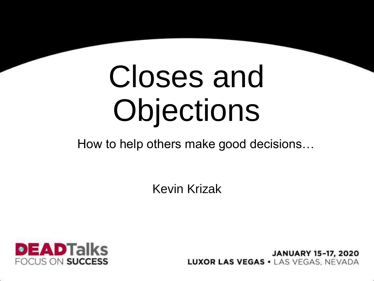# Closes and **Objections**

How to help others make good decisions…

Kevin Krizak

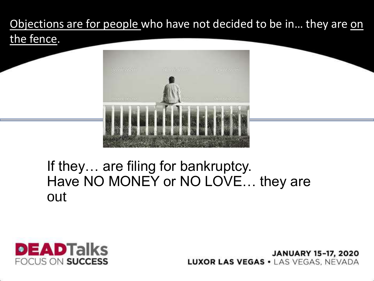#### Objections are for people who have not decided to be in... they are on the fence.



## If they… are filing for bankruptcy. Have NO MONEY or NO LOVE… they are out

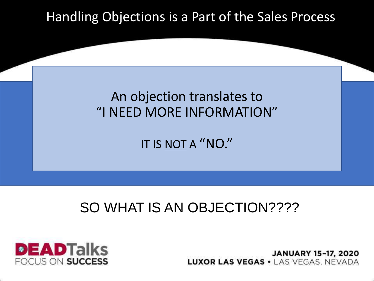## Handling Objections is a Part of the Sales Process



IT IS NOT A "NO."

# SO WHAT IS AN OBJECTION????

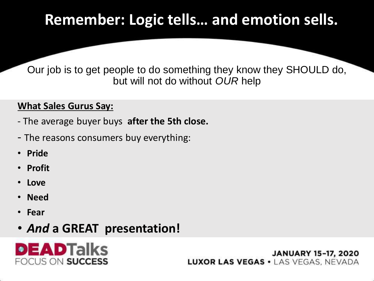# **Remember: Logic tells… and emotion sells.**

Our job is to get people to do something they know they SHOULD do, but will not do without *OUR* help

#### **What Sales Gurus Say:**

- The average buyer buys **after the 5th close.**
- The reasons consumers buy everything:
- **Pride**
- **Profit**
- **Love**
- **Need**
- **Fear**

#### • *And* **a GREAT presentation!**

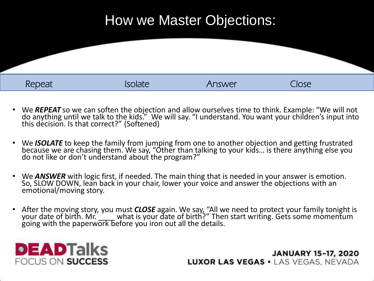# How we Master Objections:

| Repeat | <b>Isolate</b> | Answer | Close |  |
|--------|----------------|--------|-------|--|

- We *REPEAT* so we can soften the objection and allow ourselves time to think. Example: "We will not do anything until we talk to the kids." We will say. "I understand. You want your children's input into this decision. Is that correct?" (Softened)
- We ISOLATE to keep the family from jumping from one to another objection and getting frustrated because we are chasing them. We say, "Other than talking to your kids... is there anything else you do not like or don't understand about the program?"
- We *ANSWER* with logic first, if needed. The main thing that is needed in your answer is emotion. So, SLOW DOWN, lean back in your chair, lower your voice and answer the objections with an emotional/moving story.
- After the moving story, you must *CLOSE* again. We say, "All we need to protect your family tonight is your date of birth. Mr. \_\_\_\_ what is your date of birth?" Then start writing. Gets some momentum going with the paperwork before you iron out all the details.

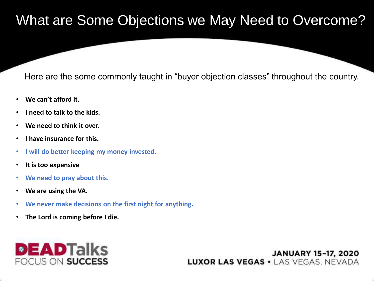# What are Some Objections we May Need to Overcome?

Here are the some commonly taught in "buyer objection classes" throughout the country.

- **We can't afford it.**
- **I need to talk to the kids.**
- **We need to think it over.**
- **I have insurance for this.**
- **I will do better keeping my money invested.**
- **It is too expensive**
- **We need to pray about this.**
- **We are using the VA.**
- **We never make decisions on the first night for anything.**
- **The Lord is coming before I die.**

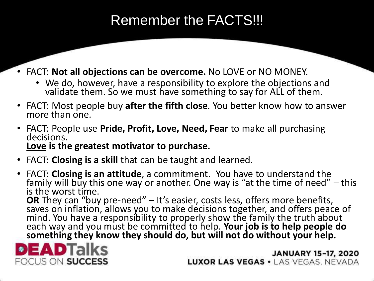# Remember the FACTS!!!

- FACT: **Not all objections can be overcome.** No LOVE or NO MONEY.
	- We do, however, have a responsibility to explore the objections and validate them. So we must have something to say for ALL of them.
- FACT: Most people buy **after the fifth close**. You better know how to answer more than one.
- FACT: People use **Pride, Profit, Love, Need, Fear** to make all purchasing decisions. **Love is the greatest motivator to purchase.**
- FACT: **Closing is a skill** that can be taught and learned.

• FACT: **Closing is an attitude**, a commitment. You have to understand the family will buy this one way or another. One way is "at the time of need" – this is the worst time.

**OR** They can "buy pre-need" – It's easier, costs less, offers more benefits, saves on inflation, allows you to make decisions together, and offers peace of mind. You have a responsibility to properly show the family the truth about each way and you must be committed to help. **Your job is to help people do something they know they should do, but will not do without your help.** 

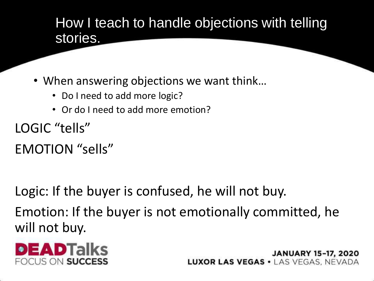#### How I teach to handle objections with telling stories.

- When answering objections we want think…
	- Do I need to add more logic?
	- Or do I need to add more emotion?

LOGIC "tells" EMOTION "sells"

Logic: If the buyer is confused, he will not buy.

Emotion: If the buyer is not emotionally committed, he will not buy.

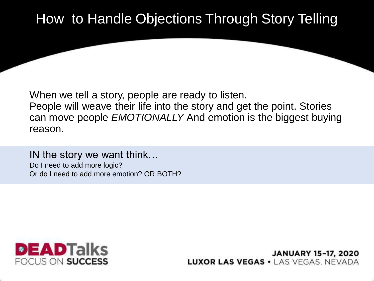# How to Handle Objections Through Story Telling

When we tell a story, people are ready to listen.

People will weave their life into the story and get the point. Stories can move people *EMOTIONALLY* And emotion is the biggest buying reason.

IN the story we want think…

Do I need to add more logic? Or do I need to add more emotion? OR BOTH?

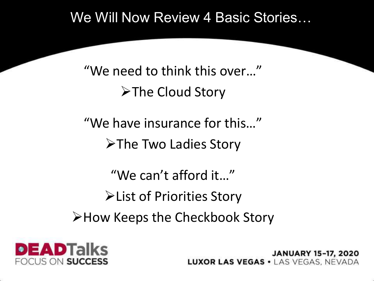#### We Will Now Review 4 Basic Stories…

"We need to think this over…"  $\triangleright$  The Cloud Story

"We have insurance for this…"  $\triangleright$  The Two Ladies Story

"We can't afford it…" List of Priorities Story How Keeps the Checkbook Story

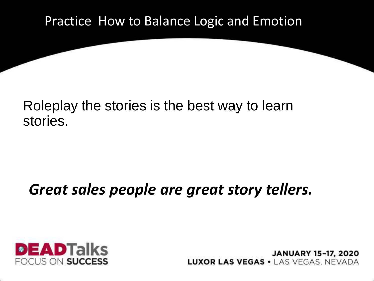Practice How to Balance Logic and Emotion

#### Roleplay the stories is the best way to learn stories.

# *Great sales people are great story tellers.*